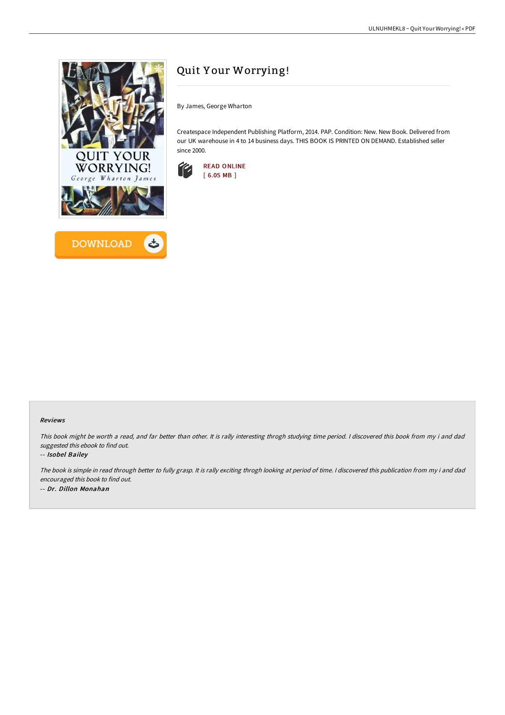



# Quit Y our Worrying!

By James, George Wharton

Createspace Independent Publishing Platform, 2014. PAP. Condition: New. New Book. Delivered from our UK warehouse in 4 to 14 business days. THIS BOOK IS PRINTED ON DEMAND. Established seller since 2000.



### Reviews

This book might be worth <sup>a</sup> read, and far better than other. It is rally interesting throgh studying time period. <sup>I</sup> discovered this book from my i and dad suggested this ebook to find out.

#### -- Isobel Bailey

The book is simple in read through better to fully grasp. It is rally exciting throgh looking at period of time. <sup>I</sup> discovered this publication from my i and dad encouraged this book to find out. -- Dr. Dillon Monahan